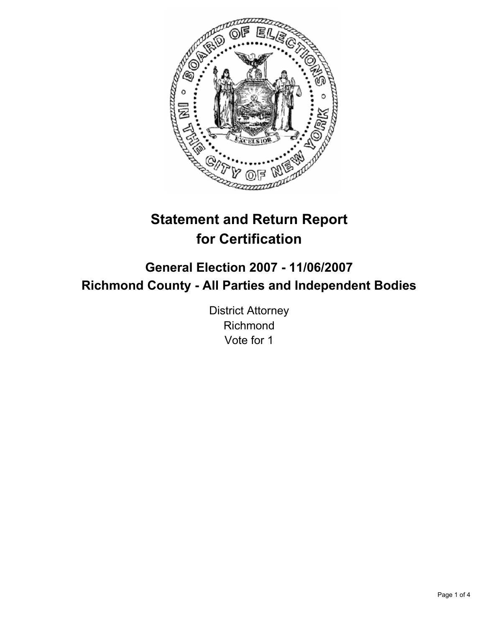

# **Statement and Return Report for Certification**

## **General Election 2007 - 11/06/2007 Richmond County - All Parties and Independent Bodies**

District Attorney Richmond Vote for 1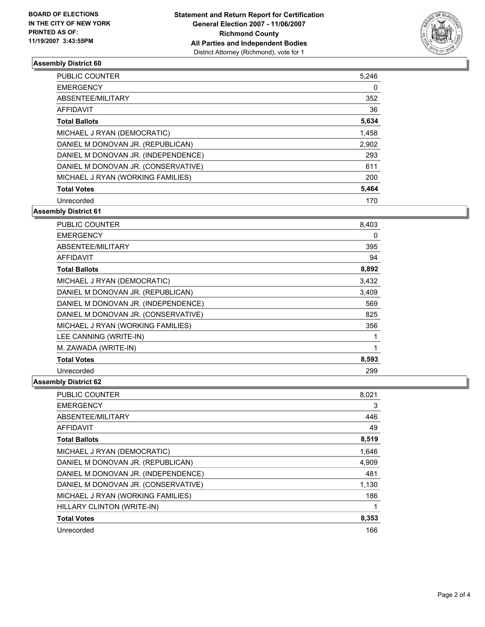

### **Assembly District 60**

| PUBLIC COUNTER                      | 5,246 |
|-------------------------------------|-------|
| <b>EMERGENCY</b>                    | 0     |
| ABSENTEE/MILITARY                   | 352   |
| AFFIDAVIT                           | 36    |
| <b>Total Ballots</b>                | 5,634 |
| MICHAEL J RYAN (DEMOCRATIC)         | 1,458 |
| DANIEL M DONOVAN JR. (REPUBLICAN)   | 2,902 |
| DANIEL M DONOVAN JR. (INDEPENDENCE) | 293   |
| DANIEL M DONOVAN JR. (CONSERVATIVE) | 611   |
| MICHAEL J RYAN (WORKING FAMILIES)   | 200   |
| <b>Total Votes</b>                  | 5,464 |
| Unrecorded                          | 170   |

**Assembly District 61**

| <b>PUBLIC COUNTER</b>               | 8,403 |
|-------------------------------------|-------|
| <b>EMERGENCY</b>                    | 0     |
| ABSENTEE/MILITARY                   | 395   |
| AFFIDAVIT                           | 94    |
| <b>Total Ballots</b>                | 8,892 |
| MICHAEL J RYAN (DEMOCRATIC)         | 3,432 |
| DANIEL M DONOVAN JR. (REPUBLICAN)   | 3,409 |
| DANIEL M DONOVAN JR. (INDEPENDENCE) | 569   |
| DANIEL M DONOVAN JR. (CONSERVATIVE) | 825   |
| MICHAEL J RYAN (WORKING FAMILIES)   | 356   |
| LEE CANNING (WRITE-IN)              |       |
| M. ZAWADA (WRITE-IN)                |       |
| <b>Total Votes</b>                  | 8,593 |
| Unrecorded                          | 299   |

### **Assembly District 62**

| <b>PUBLIC COUNTER</b>               | 8,021 |
|-------------------------------------|-------|
| <b>EMERGENCY</b>                    | 3     |
| ABSENTEE/MILITARY                   | 446   |
| <b>AFFIDAVIT</b>                    | 49    |
| <b>Total Ballots</b>                | 8,519 |
| MICHAEL J RYAN (DEMOCRATIC)         | 1,646 |
| DANIEL M DONOVAN JR. (REPUBLICAN)   | 4,909 |
| DANIEL M DONOVAN JR. (INDEPENDENCE) | 481   |
| DANIEL M DONOVAN JR. (CONSERVATIVE) | 1,130 |
| MICHAEL J RYAN (WORKING FAMILIES)   | 186   |
| HILLARY CLINTON (WRITE-IN)          |       |
| <b>Total Votes</b>                  | 8,353 |
| Unrecorded                          | 166   |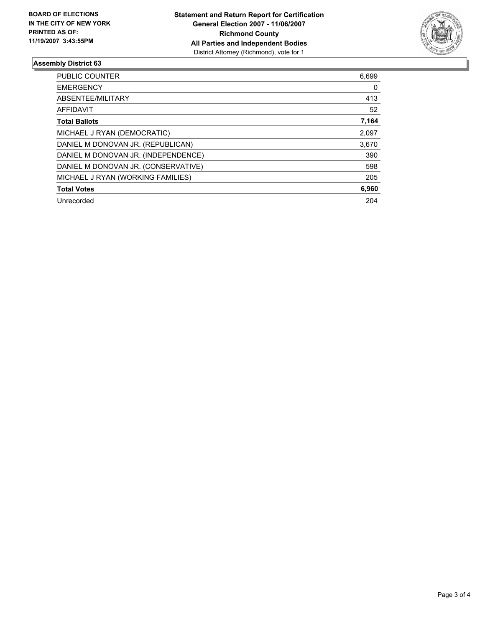

### **Assembly District 63**

| PUBLIC COUNTER                      | 6,699 |
|-------------------------------------|-------|
| <b>EMERGENCY</b>                    | 0     |
| ABSENTEE/MILITARY                   | 413   |
| AFFIDAVIT                           | 52    |
| <b>Total Ballots</b>                | 7,164 |
| MICHAEL J RYAN (DEMOCRATIC)         | 2,097 |
| DANIEL M DONOVAN JR. (REPUBLICAN)   | 3,670 |
| DANIEL M DONOVAN JR. (INDEPENDENCE) | 390   |
| DANIEL M DONOVAN JR. (CONSERVATIVE) | 598   |
| MICHAEL J RYAN (WORKING FAMILIES)   | 205   |
| <b>Total Votes</b>                  | 6,960 |
| Unrecorded                          | 204   |